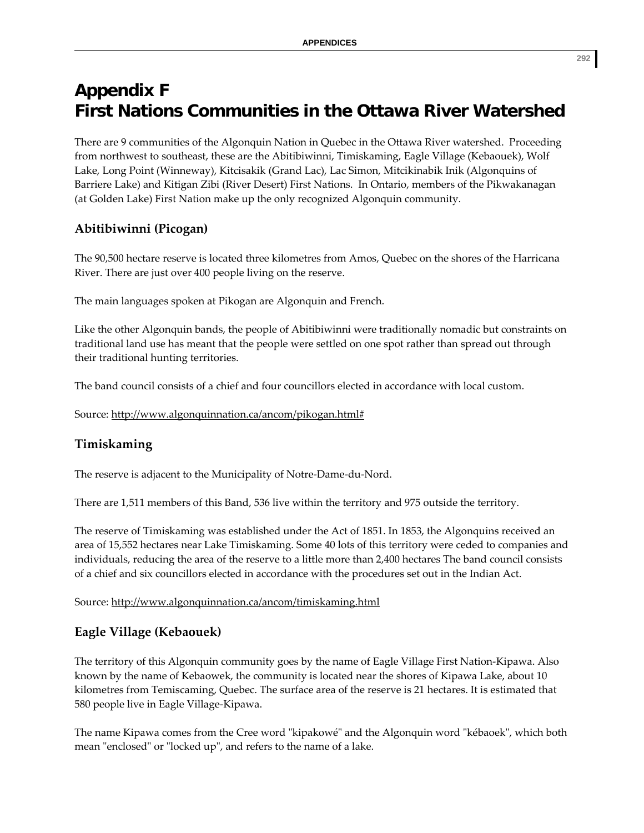# **Appendix F First Nations Communities in the Ottawa River Watershed**

There are 9 communities of the Algonquin Nation in Quebec in the Ottawa River watershed. Proceeding from northwest to southeast, these are the Abitibiwinni, Timiskaming, Eagle Village (Kebaouek), Wolf Lake, Long Point (Winneway), Kitcisakik (Grand Lac), Lac Simon, Mitcikinabik Inik (Algonquins of Barriere Lake) and Kitigan Zibi (River Desert) First Nations. In Ontario, members of the Pikwakanagan (at Golden Lake) First Nation make up the only recognized Algonquin community.

## **Abitibiwinni (Picogan)**

The 90,500 hectare reserve is located three kilometres from Amos, Quebec on the shores of the Harricana River. There are just over 400 people living on the reserve.

The main languages spoken at Pikogan are Algonquin and French.

Like the other Algonquin bands, the people of Abitibiwinni were traditionally nomadic but constraints on traditional land use has meant that the people were settled on one spot rather than spread out through their traditional hunting territories.

The band council consists of a chief and four councillors elected in accordance with local custom.

Source: http://www.algonquinnation.ca/ancom/pikogan.html#

## **Timiskaming**

The reserve is adjacent to the Municipality of Notre‐Dame‐du‐Nord.

There are 1,511 members of this Band, 536 live within the territory and 975 outside the territory.

The reserve of Timiskaming was established under the Act of 1851. In 1853, the Algonquins received an area of 15,552 hectares near Lake Timiskaming. Some 40 lots of this territory were ceded to companies and individuals, reducing the area of the reserve to a little more than 2,400 hectares The band council consists of a chief and six councillors elected in accordance with the procedures set out in the Indian Act.

Source: http://www.algonquinnation.ca/ancom/timiskaming.html

## **Eagle Village (Kebaouek)**

The territory of this Algonquin community goes by the name of Eagle Village First Nation‐Kipawa. Also known by the name of Kebaowek, the community is located near the shores of Kipawa Lake, about 10 kilometres from Temiscaming, Quebec. The surface area of the reserve is 21 hectares. It is estimated that 580 people live in Eagle Village‐Kipawa.

The name Kipawa comes from the Cree word "kipakowé" and the Algonquin word "kébaoek", which both mean "enclosed" or "locked up", and refers to the name of a lake.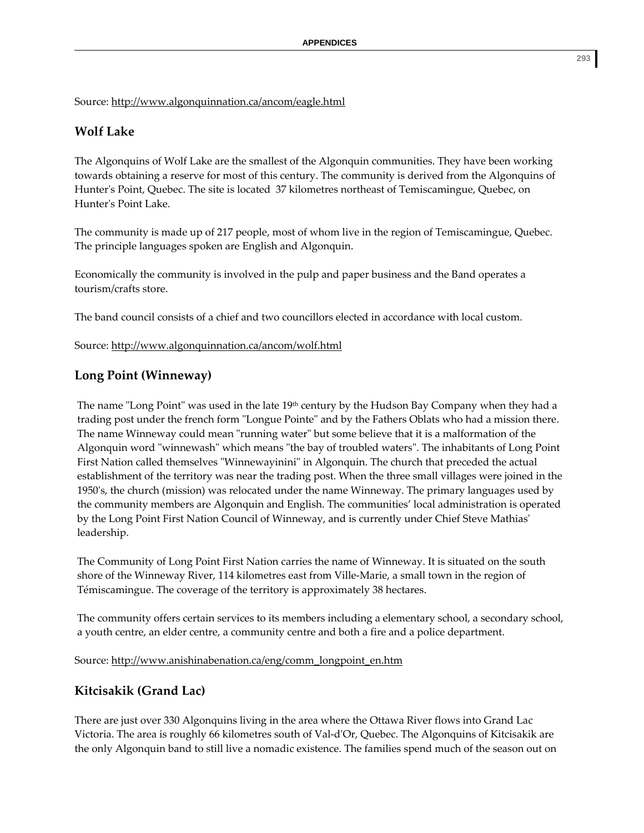Source: http://www.algonquinnation.ca/ancom/eagle.html

## **Wolf Lake**

The Algonquins of Wolf Lake are the smallest of the Algonquin communities. They have been working towards obtaining a reserve for most of this century. The community is derived from the Algonquins of Hunter's Point, Quebec. The site is located 37 kilometres northeast of Temiscamingue, Quebec, on Hunterʹs Point Lake.

The community is made up of 217 people, most of whom live in the region of Temiscamingue, Quebec. The principle languages spoken are English and Algonquin.

Economically the community is involved in the pulp and paper business and the Band operates a tourism/crafts store.

The band council consists of a chief and two councillors elected in accordance with local custom.

Source: http://www.algonquinnation.ca/ancom/wolf.html

## **Long Point (Winneway)**

The name "Long Point" was used in the late  $19<sup>th</sup>$  century by the Hudson Bay Company when they had a trading post under the french form "Longue Pointe" and by the Fathers Oblats who had a mission there. The name Winneway could mean "running water" but some believe that it is a malformation of the Algonquin word "winnewash" which means "the bay of troubled waters". The inhabitants of Long Point First Nation called themselves "Winnewayinini" in Algonquin. The church that preceded the actual establishment of the territory was near the trading post. When the three small villages were joined in the 1950ʹs, the church (mission) was relocated under the name Winneway. The primary languages used by the community members are Algonquin and English. The communities' local administration is operated by the Long Point First Nation Council of Winneway, and is currently under Chief Steve Mathiasʹ leadership.

The Community of Long Point First Nation carries the name of Winneway. It is situated on the south shore of the Winneway River, 114 kilometres east from Ville‐Marie, a small town in the region of Témiscamingue. The coverage of the territory is approximately 38 hectares.

The community offers certain services to its members including a elementary school, a secondary school, a youth centre, an elder centre, a community centre and both a fire and a police department.

Source: http://www.anishinabenation.ca/eng/comm\_longpoint\_en.htm

# **Kitcisakik (Grand Lac)**

There are just over 330 Algonquins living in the area where the Ottawa River flows into Grand Lac Victoria. The area is roughly 66 kilometres south of Val‐dʹOr, Quebec. The Algonquins of Kitcisakik are the only Algonquin band to still live a nomadic existence. The families spend much of the season out on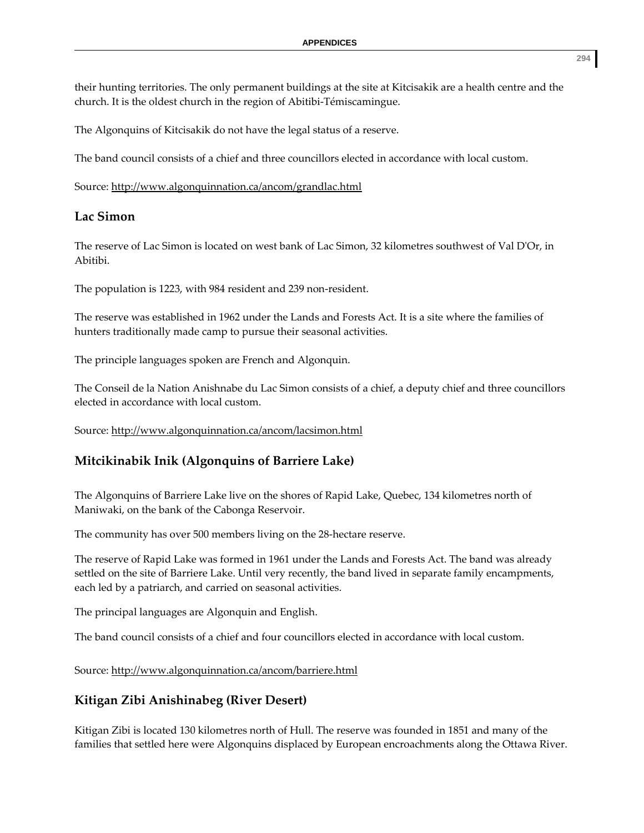their hunting territories. The only permanent buildings at the site at Kitcisakik are a health centre and the church. It is the oldest church in the region of Abitibi‐Témiscamingue.

The Algonquins of Kitcisakik do not have the legal status of a reserve.

The band council consists of a chief and three councillors elected in accordance with local custom.

Source: http://www.algonquinnation.ca/ancom/grandlac.html

## **Lac Simon**

The reserve of Lac Simon is located on west bank of Lac Simon, 32 kilometres southwest of Val DʹOr, in Abitibi.

The population is 1223, with 984 resident and 239 non‐resident.

The reserve was established in 1962 under the Lands and Forests Act. It is a site where the families of hunters traditionally made camp to pursue their seasonal activities.

The principle languages spoken are French and Algonquin.

The Conseil de la Nation Anishnabe du Lac Simon consists of a chief, a deputy chief and three councillors elected in accordance with local custom.

Source: http://www.algonquinnation.ca/ancom/lacsimon.html

# **Mitcikinabik Inik (Algonquins of Barriere Lake)**

The Algonquins of Barriere Lake live on the shores of Rapid Lake, Quebec, 134 kilometres north of Maniwaki, on the bank of the Cabonga Reservoir.

The community has over 500 members living on the 28‐hectare reserve.

The reserve of Rapid Lake was formed in 1961 under the Lands and Forests Act. The band was already settled on the site of Barriere Lake. Until very recently, the band lived in separate family encampments, each led by a patriarch, and carried on seasonal activities.

The principal languages are Algonquin and English.

The band council consists of a chief and four councillors elected in accordance with local custom.

Source: http://www.algonquinnation.ca/ancom/barriere.html

## **Kitigan Zibi Anishinabeg (River Desert)**

Kitigan Zibi is located 130 kilometres north of Hull. The reserve was founded in 1851 and many of the families that settled here were Algonquins displaced by European encroachments along the Ottawa River.